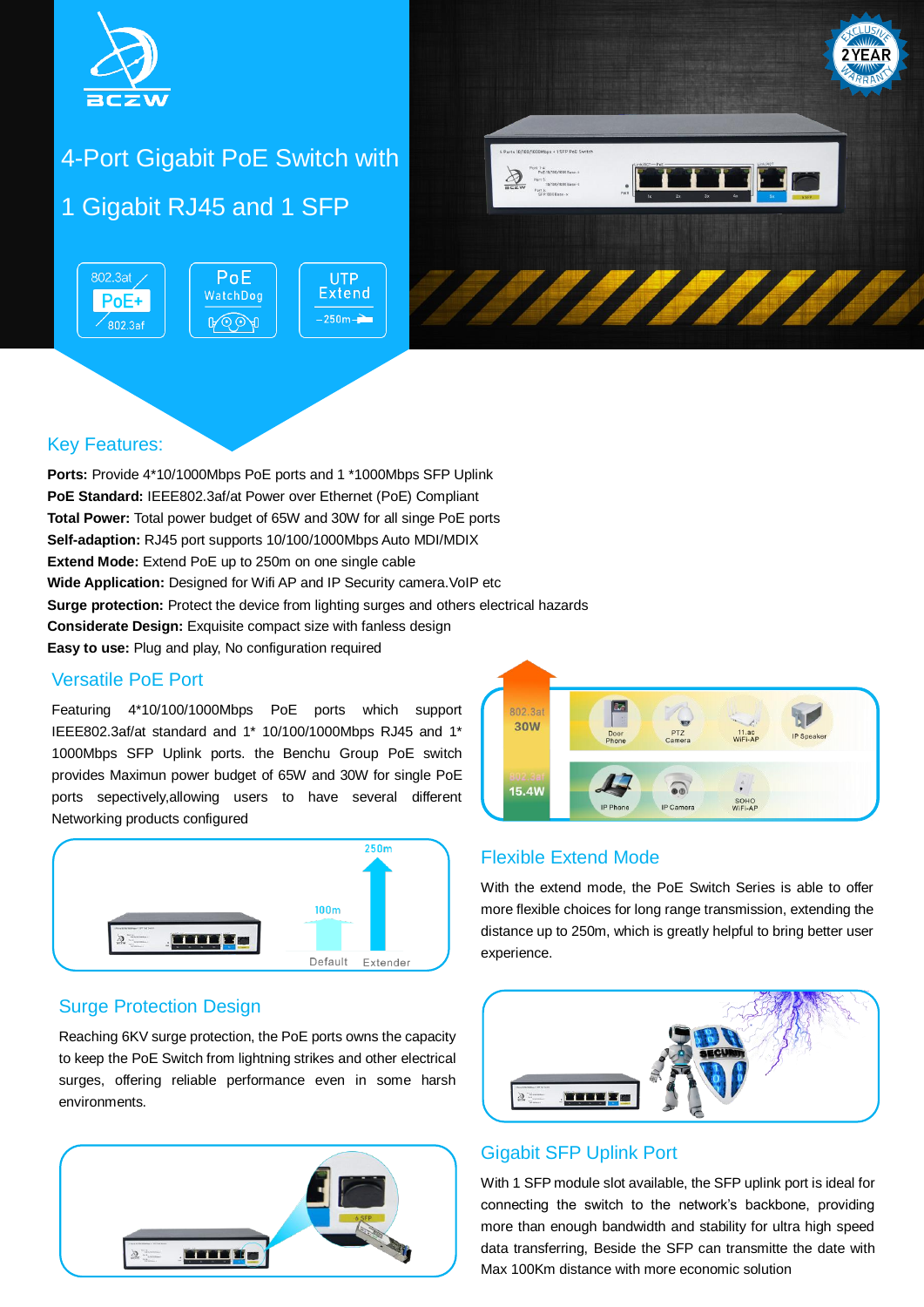

# 4-Port Gigabit PoE Switch with

1 Gigabit RJ45 and 1 SFP

802.3at / PoE **UTP Extend** WatchDog  $PoE+$  $-250m -$ ROOA  $\overline{802.3}$ af



### Key Features:

**Ports:** Provide 4\*10/1000Mbps PoE ports and 1 \*1000Mbps SFP Uplink **PoE Standard:** IEEE802.3af/at Power over Ethernet (PoE) Compliant **Total Power:** Total power budget of 65W and 30W for all singe PoE ports **Self-adaption:** RJ45 port supports 10/100/1000Mbps Auto MDI/MDIX **Extend Mode:** Extend PoE up to 250m on one single cable **Wide Application:** Designed for Wifi AP and IP Security camera. VoIP etc **Surge protection:** Protect the device from lighting surges and others electrical hazards **Considerate Design:** Exquisite compact size with fanless design **Easy to use:** Plug and play, No configuration required

### Versatile PoE Port

Featuring 4\*10/100/1000Mbps PoE ports which support IEEE802.3af/at standard and 1\* 10/100/1000Mbps RJ45 and 1\* 1000Mbps SFP Uplink ports. the Benchu Group PoE switch provides Maximun power budget of 65W and 30W for single PoE ports sepectively,allowing users to have several different Networking products configured



### Surge Protection Design

Reaching 6KV surge protection, the PoE ports owns the capacity to keep the PoE Switch from lightning strikes and other electrical surges, offering reliable performance even in some harsh environments.





### Flexible Extend Mode

With the extend mode, the PoE Switch Series is able to offer more flexible choices for long range transmission, extending the distance up to 250m, which is greatly helpful to bring better user experience.



#### Gigabit SFP Uplink Port

With 1 SFP module slot available, the SFP uplink port is ideal for connecting the switch to the network's backbone, providing more than enough bandwidth and stability for ultra high speed data transferring, Beside the SFP can transmitte the date with Max 100Km distance with more economic solution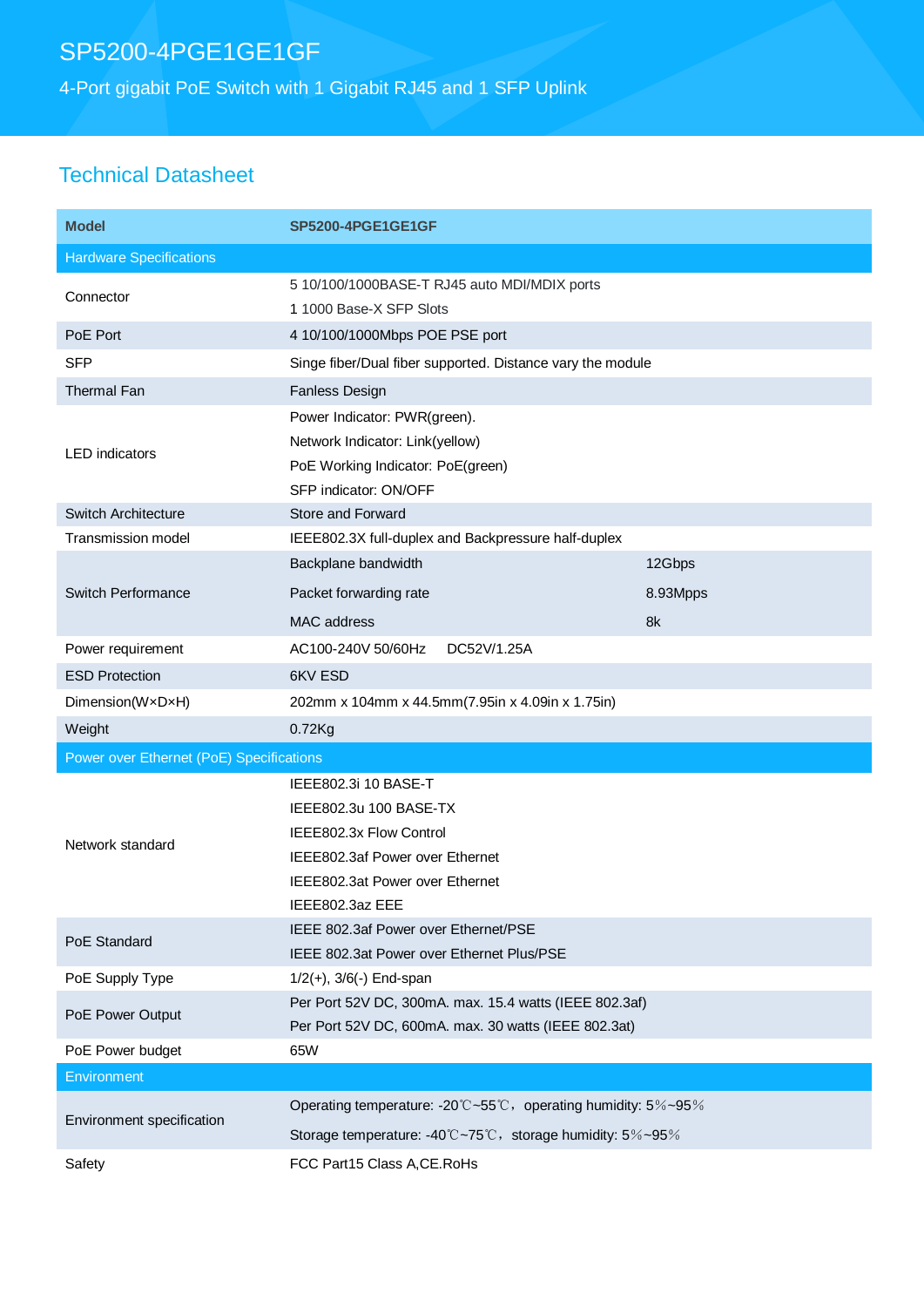# SP5200-4PGE1GE1GF

4-Port gigabit PoE Switch with 1 Gigabit RJ45 and 1 SFP Uplink

### Technical Datasheet

| <b>Model</b>                             | <b>SP5200-4PGE1GE1GF</b>                                                                                                                                           |          |  |
|------------------------------------------|--------------------------------------------------------------------------------------------------------------------------------------------------------------------|----------|--|
| <b>Hardware Specifications</b>           |                                                                                                                                                                    |          |  |
| Connector                                | 5 10/100/1000BASE-T RJ45 auto MDI/MDIX ports<br>1 1000 Base-X SFP Slots                                                                                            |          |  |
| PoE Port                                 | 4 10/100/1000Mbps POE PSE port                                                                                                                                     |          |  |
| <b>SFP</b>                               | Singe fiber/Dual fiber supported. Distance vary the module                                                                                                         |          |  |
| Thermal Fan                              | Fanless Design                                                                                                                                                     |          |  |
| <b>LED</b> indicators                    | Power Indicator: PWR(green).<br>Network Indicator: Link(yellow)<br>PoE Working Indicator: PoE(green)<br>SFP indicator: ON/OFF                                      |          |  |
| <b>Switch Architecture</b>               | Store and Forward                                                                                                                                                  |          |  |
| <b>Transmission model</b>                | IEEE802.3X full-duplex and Backpressure half-duplex                                                                                                                |          |  |
| <b>Switch Performance</b>                | Backplane bandwidth                                                                                                                                                | 12Gbps   |  |
|                                          | Packet forwarding rate                                                                                                                                             | 8.93Mpps |  |
|                                          | <b>MAC</b> address                                                                                                                                                 | 8k       |  |
| Power requirement                        | AC100-240V 50/60Hz<br>DC52V/1.25A                                                                                                                                  |          |  |
| <b>ESD Protection</b>                    | 6KV ESD                                                                                                                                                            |          |  |
| Dimension(WxDxH)                         | 202mm x 104mm x 44.5mm(7.95in x 4.09in x 1.75in)                                                                                                                   |          |  |
| Weight                                   | $0.72$ Kg                                                                                                                                                          |          |  |
| Power over Ethernet (PoE) Specifications |                                                                                                                                                                    |          |  |
| Network standard                         | IEEE802.3i 10 BASE-T<br>IEEE802.3u 100 BASE-TX<br>IEEE802.3x Flow Control<br>IEEE802.3af Power over Ethernet<br>IEEE802.3at Power over Ethernet<br>IEEE802.3az EEE |          |  |
| PoE Standard                             | IEEE 802.3af Power over Ethernet/PSE<br>IEEE 802.3at Power over Ethernet Plus/PSE                                                                                  |          |  |
| PoE Supply Type                          | $1/2(+)$ , $3/6(-)$ End-span                                                                                                                                       |          |  |
| PoE Power Output                         | Per Port 52V DC, 300mA. max. 15.4 watts (IEEE 802.3af)<br>Per Port 52V DC, 600mA. max. 30 watts (IEEE 802.3at)                                                     |          |  |
| PoE Power budget                         | 65W                                                                                                                                                                |          |  |
| Environment                              |                                                                                                                                                                    |          |  |
| Environment specification                | Operating temperature: -20°C~55°C, operating humidity: 5%~95%                                                                                                      |          |  |
|                                          | Storage temperature: -40°C~75°C, storage humidity: 5%~95%                                                                                                          |          |  |
| Safety                                   | FCC Part15 Class A, CE. RoHs                                                                                                                                       |          |  |